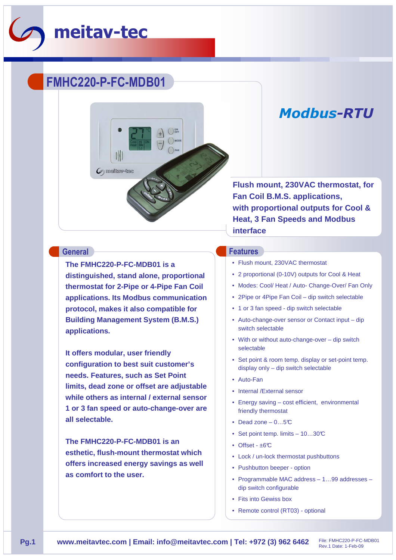

# **FMHC220-P-FC-MDB01**



**The FMHC220-P-FC-MDB01 is a distinguished, stand alone, proportional thermostat for 2-Pipe or 4-Pipe Fan Coil applications. Its Modbus communication protocol, makes it also compatible for Building Management System (B.M.S.) applications.** 

**It offers modular, user friendly configuration to best suit customer's needs. Features, such as Set Point limits, dead zone or offset are adjustable while others as internal / external sensor 1 or 3 fan speed or auto-change-over are all selectable.** 

**The FMHC220-P-FC-MDB01 is an esthetic, flush-mount thermostat which offers increased energy savings as well as comfort to the user.**

## *Modbus-RTU*

**Flush mount, 230VAC thermostat, for Fan Coil B.M.S. applications, with proportional outputs for Cool & Heat, 3 Fan Speeds and Modbus interface**

#### **General Features**

- Flush mount, 230VAC thermostat
- 2 proportional (0-10V) outputs for Cool & Heat
- Modes: Cool/ Heat / Auto- Change-Over/ Fan Only
- 2Pipe or 4Pipe Fan Coil dip switch selectable
- 1 or 3 fan speed dip switch selectable
- Auto-change-over sensor or Contact input dip switch selectable
- With or without auto-change-over dip switch selectable
- Set point & room temp. display or set-point temp. display only – dip switch selectable
- Auto-Fan
- Internal /External sensor
- Energy saving cost efficient, environmental friendly thermostat
- Dead zone  $-0...5C$
- Set point temp. limits 10...30°C
- Offset  $\pm 6^{\circ}$ C
- Lock / un-lock thermostat pushbuttons
- Pushbutton beeper option
- Programmable MAC address 1…99 addresses dip switch configurable
- Fits into Gewiss box
- Remote control (RT03) optional